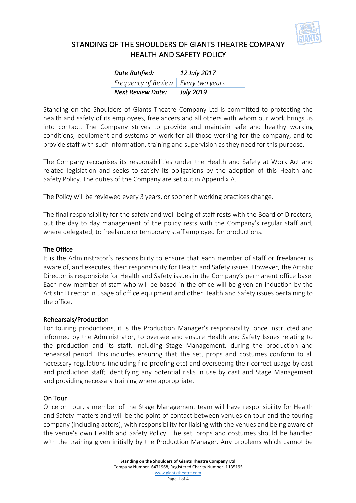

| Date Ratified:                        | 12 July 2017     |
|---------------------------------------|------------------|
| Frequency of Review   Every two years |                  |
| Next Review Date:                     | <b>July 2019</b> |

Standing on the Shoulders of Giants Theatre Company Ltd is committed to protecting the health and safety of its employees, freelancers and all others with whom our work brings us into contact. The Company strives to provide and maintain safe and healthy working conditions, equipment and systems of work for all those working for the company, and to provide staff with such information, training and supervision as they need for this purpose.

The Company recognises its responsibilities under the Health and Safety at Work Act and related legislation and seeks to satisfy its obligations by the adoption of this Health and Safety Policy. The duties of the Company are set out in Appendix A.

The Policy will be reviewed every 3 years, or sooner if working practices change.

The final responsibility for the safety and well-being of staff rests with the Board of Directors, but the day to day management of the policy rests with the Company's regular staff and, where delegated, to freelance or temporary staff employed for productions.

#### The Office

It is the Administrator's responsibility to ensure that each member of staff or freelancer is aware of, and executes, their responsibility for Health and Safety issues. However, the Artistic Director is responsible for Health and Safety issues in the Company's permanent office base. Each new member of staff who will be based in the office will be given an induction by the Artistic Director in usage of office equipment and other Health and Safety issues pertaining to the office.

#### Rehearsals/Production

For touring productions, it is the Production Manager's responsibility, once instructed and informed by the Administrator, to oversee and ensure Health and Safety Issues relating to the production and its staff, including Stage Management, during the production and rehearsal period. This includes ensuring that the set, props and costumes conform to all necessary regulations (including fire-proofing etc) and overseeing their correct usage by cast and production staff; identifying any potential risks in use by cast and Stage Management and providing necessary training where appropriate.

#### On Tour

Once on tour, a member of the Stage Management team will have responsibility for Health and Safety matters and will be the point of contact between venues on tour and the touring company (including actors), with responsibility for liaising with the venues and being aware of the venue's own Health and Safety Policy. The set, props and costumes should be handled with the training given initially by the Production Manager. Any problems which cannot be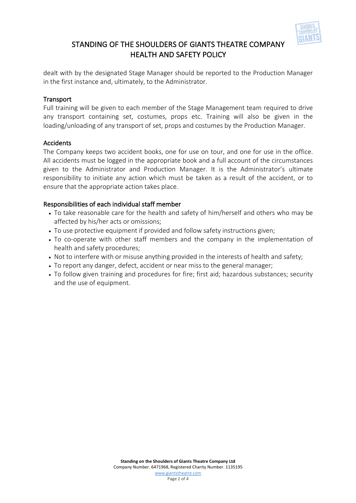

dealt with by the designated Stage Manager should be reported to the Production Manager in the first instance and, ultimately, to the Administrator.

### **Transport**

Full training will be given to each member of the Stage Management team required to drive any transport containing set, costumes, props etc. Training will also be given in the loading/unloading of any transport of set, props and costumes by the Production Manager.

### Accidents

The Company keeps two accident books, one for use on tour, and one for use in the office. All accidents must be logged in the appropriate book and a full account of the circumstances given to the Administrator and Production Manager. It is the Administrator's ultimate responsibility to initiate any action which must be taken as a result of the accident, or to ensure that the appropriate action takes place.

### Responsibilities of each individual staff member

- To take reasonable care for the health and safety of him/herself and others who may be affected by his/her acts or omissions;
- To use protective equipment if provided and follow safety instructions given;
- To co-operate with other staff members and the company in the implementation of health and safety procedures;
- Not to interfere with or misuse anything provided in the interests of health and safety;
- To report any danger, defect, accident or near miss to the general manager;
- To follow given training and procedures for fire; first aid; hazardous substances; security and the use of equipment.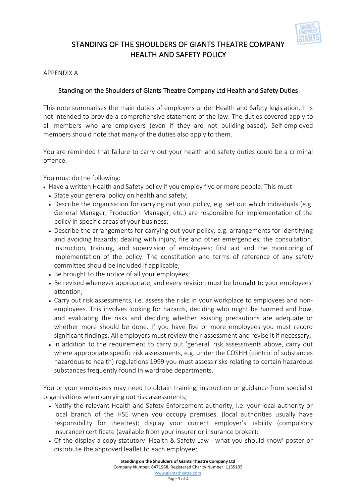

#### APPENDIX A

### Standing on the Shoulders of Giants Theatre Company Ltd Health and Safety Duties

This note summarises the main duties of employers under Health and Safety legislation. It is not intended to provide a comprehensive statement of the law. The duties covered apply to all members who are employers (even if they are not building-based). Self-employed members should note that many of the duties also apply to them.

You are reminded that failure to carry out your health and safety duties could be a criminal offence.

You must do the following:

- Have a written Health and Safety policy if you employ five or more people. This must:
	- State your general policy on health and safety;
	- Describe the organisation for carrying out your policy, e.g. set out which individuals (e.g. General Manager, Production Manager, etc.) are responsible for implementation of the policy in specific areas of your business;
	- Describe the arrangements for carrying out your policy, e.g. arrangements for identifying and avoiding hazards; dealing with injury, fire and other emergencies; the consultation, instruction, training, and supervision of employees; first aid and the monitoring of implementation of the policy. The constitution and terms of reference of any safety committee should be included if applicable;
	- Be brought to the notice of all your employees;
	- Be revised whenever appropriate, and every revision must be brought to your employees' attention;
	- Carry out risk assessments, i.e. assess the risks in your workplace to employees and nonemployees. This involves looking for hazards, deciding who might be harmed and how, and evaluating the risks and deciding whether existing precautions are adequate or whether more should be done. If you have five or more employees you must record significant findings. All employers must review their assessment and revise it if necessary;
	- In addition to the requirement to carry out 'general' risk assessments above, carry out where appropriate specific risk assessments, e.g. under the COSHH (control of substances hazardous to health) regulations 1999 you must assess risks relating to certain hazardous substances frequently found in wardrobe departments.

You or your employees may need to obtain training, instruction or guidance from specialist organisations when carrying out risk assessments;

- Notify the relevant Health and Safety Enforcement authority, i.e. your local authority or local branch of the HSE when you occupy premises. (local authorities usually have responsibility for theatres); display your current employer's liability (compulsory insurance) certificate (available from your insurer or insurance broker);
- Of the display a copy statutory 'Health & Safety Law what you should know' poster or distribute the approved leaflet to each employee;